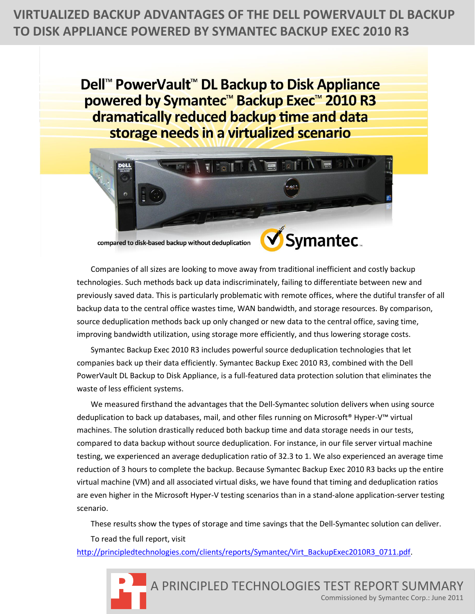**VIRTUALIZED BACKUP ADVANTAGES OF THE DELL POWERVAULT DL BACKUP TO DISK APPLIANCE POWERED BY SYMANTEC BACKUP EXEC 2010 R3** 

> Dell<sup>™</sup> PowerVault<sup>™</sup> DL Backup to Disk Appliance powered by Symantec<sup>™</sup> Backup Exec™ 2010 R3 dramatically reduced backup time and data storage needs in a virtualized scenario



compared to disk-based backup without deduplication



Companies of all sizes are looking to move away from traditional inefficient and costly backup technologies. Such methods back up data indiscriminately, failing to differentiate between new and previously saved data. This is particularly problematic with remote offices, where the dutiful transfer of all backup data to the central office wastes time, WAN bandwidth, and storage resources. By comparison, source deduplication methods back up only changed or new data to the central office, saving time, improving bandwidth utilization, using storage more efficiently, and thus lowering storage costs.

Symantec Backup Exec 2010 R3 includes powerful source deduplication technologies that let companies back up their data efficiently. Symantec Backup Exec 2010 R3, combined with the Dell PowerVault DL Backup to Disk Appliance, is a full-featured data protection solution that eliminates the waste of less efficient systems.

We measured firsthand the advantages that the Dell-Symantec solution delivers when using source deduplication to back up databases, mail, and other files running on Microsoft® Hyper-V™ virtual machines. The solution drastically reduced both backup time and data storage needs in our tests, compared to data backup without source deduplication. For instance, in our file server virtual machine testing, we experienced an average deduplication ratio of 32.3 to 1. We also experienced an average time reduction of 3 hours to complete the backup. Because Symantec Backup Exec 2010 R3 backs up the entire virtual machine (VM) and all associated virtual disks, we have found that timing and deduplication ratios are even higher in the Microsoft Hyper-V testing scenarios than in a stand-alone application-server testing scenario.

These results show the types of storage and time savings that the Dell-Symantec solution can deliver.

To read the full report, visit

[http://principledtechnologies.com/clients/reports/Symantec/Virt\\_BackupExec2010R3\\_0711.pdf.](http://principledtechnologies.com/clients/reports/Symantec/Virt_BackupExec2010R3_0711.pdf)

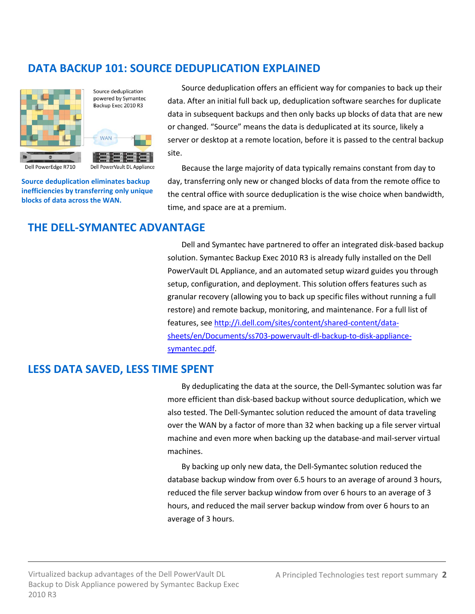# **DATA BACKUP 101: SOURCE DEDUPLICATION EXPLAINED**



Source deduplication powered by Symantec Backup Exec 2010 R3



Dell PowerVault DL Appliance

Dell PowerEdge R710

**Source deduplication eliminates backup inefficiencies by transferring only unique blocks of data across the WAN.**

Source deduplication offers an efficient way for companies to back up their data. After an initial full back up, deduplication software searches for duplicate data in subsequent backups and then only backs up blocks of data that are new or changed. "Source" means the data is deduplicated at its source, likely a server or desktop at a remote location, before it is passed to the central backup site.

Because the large majority of data typically remains constant from day to day, transferring only new or changed blocks of data from the remote office to the central office with source deduplication is the wise choice when bandwidth, time, and space are at a premium.

### **THE DELL-SYMANTEC ADVANTAGE**

Dell and Symantec have partnered to offer an integrated disk-based backup solution. Symantec Backup Exec 2010 R3 is already fully installed on the Dell PowerVault DL Appliance, and an automated setup wizard guides you through setup, configuration, and deployment. This solution offers features such as granular recovery (allowing you to back up specific files without running a full restore) and remote backup, monitoring, and maintenance. For a full list of features, see [http://i.dell.com/sites/content/shared-content/data](http://i.dell.com/sites/content/shared-content/data-sheets/en/Documents/ss703-powervault-dl-backup-to-disk-appliance-symantec.pdf)[sheets/en/Documents/ss703-powervault-dl-backup-to-disk-appliance](http://i.dell.com/sites/content/shared-content/data-sheets/en/Documents/ss703-powervault-dl-backup-to-disk-appliance-symantec.pdf)[symantec.pdf.](http://i.dell.com/sites/content/shared-content/data-sheets/en/Documents/ss703-powervault-dl-backup-to-disk-appliance-symantec.pdf)

## **LESS DATA SAVED, LESS TIME SPENT**

By deduplicating the data at the source, the Dell-Symantec solution was far more efficient than disk-based backup without source deduplication, which we also tested. The Dell-Symantec solution reduced the amount of data traveling over the WAN by a factor of more than 32 when backing up a file server virtual machine and even more when backing up the database-and mail-server virtual machines.

By backing up only new data, the Dell-Symantec solution reduced the database backup window from over 6.5 hours to an average of around 3 hours, reduced the file server backup window from over 6 hours to an average of 3 hours, and reduced the mail server backup window from over 6 hours to an average of 3 hours.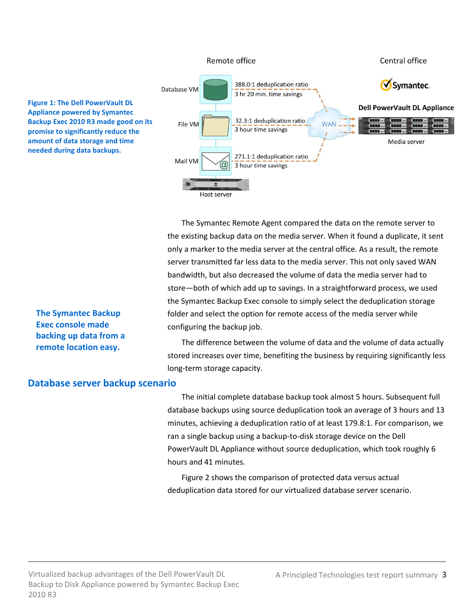

The Symantec Remote Agent compared the data on the remote server to the existing backup data on the media server. When it found a duplicate, it sent only a marker to the media server at the central office. As a result, the remote server transmitted far less data to the media server. This not only saved WAN bandwidth, but also decreased the volume of data the media server had to store—both of which add up to savings. In a straightforward process, we used the Symantec Backup Exec console to simply select the deduplication storage folder and select the option for remote access of the media server while configuring the backup job.

The difference between the volume of data and the volume of data actually stored increases over time, benefiting the business by requiring significantly less long-term storage capacity.

#### **Database server backup scenario**

**The Symantec Backup Exec console made backing up data from a remote location easy.**

> The initial complete database backup took almost 5 hours. Subsequent full database backups using source deduplication took an average of 3 hours and 13 minutes, achieving a deduplication ratio of at least 179.8:1. For comparison, we ran a single backup using a backup-to-disk storage device on the Dell PowerVault DL Appliance without source deduplication, which took roughly 6 hours and 41 minutes.

Figure 2 shows the comparison of protected data versus actual deduplication data stored for our virtualized database server scenario.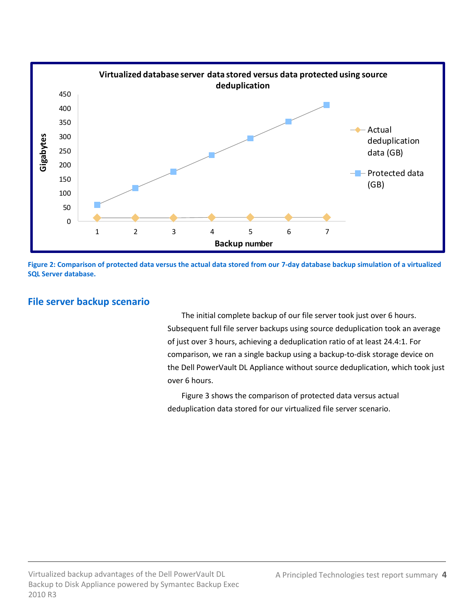

**Figure 2: Comparison of protected data versus the actual data stored from our 7-day database backup simulation of a virtualized SQL Server database.**

### **File server backup scenario**

The initial complete backup of our file server took just over 6 hours. Subsequent full file server backups using source deduplication took an average of just over 3 hours, achieving a deduplication ratio of at least 24.4:1. For comparison, we ran a single backup using a backup-to-disk storage device on the Dell PowerVault DL Appliance without source deduplication, which took just over 6 hours.

Figure 3 shows the comparison of protected data versus actual deduplication data stored for our virtualized file server scenario.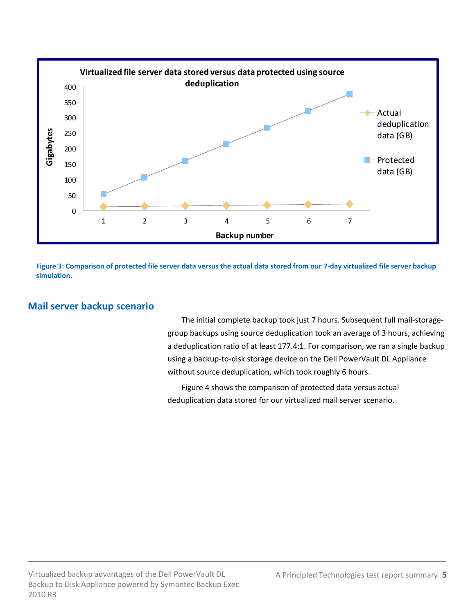

**Figure 3: Comparison of protected file server data versus the actual data stored from our 7-day virtualized file server backup simulation.**

### **Mail server backup scenario**

The initial complete backup took just 7 hours. Subsequent full mail-storagegroup backups using source deduplication took an average of 3 hours, achieving a deduplication ratio of at least 177.4:1. For comparison, we ran a single backup using a backup-to-disk storage device on the Dell PowerVault DL Appliance without source deduplication, which took roughly 6 hours.

Figure 4 shows the comparison of protected data versus actual deduplication data stored for our virtualized mail server scenario.